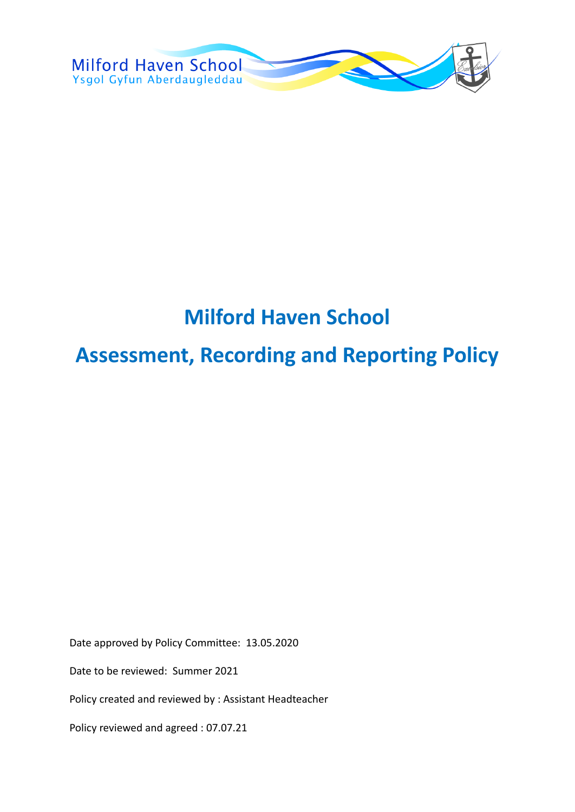

# **Milford Haven School**

# **Assessment, Recording and Reporting Policy**

Date approved by Policy Committee: 13.05.2020

Date to be reviewed: Summer 2021

Policy created and reviewed by : Assistant Headteacher

Policy reviewed and agreed : 07.07.21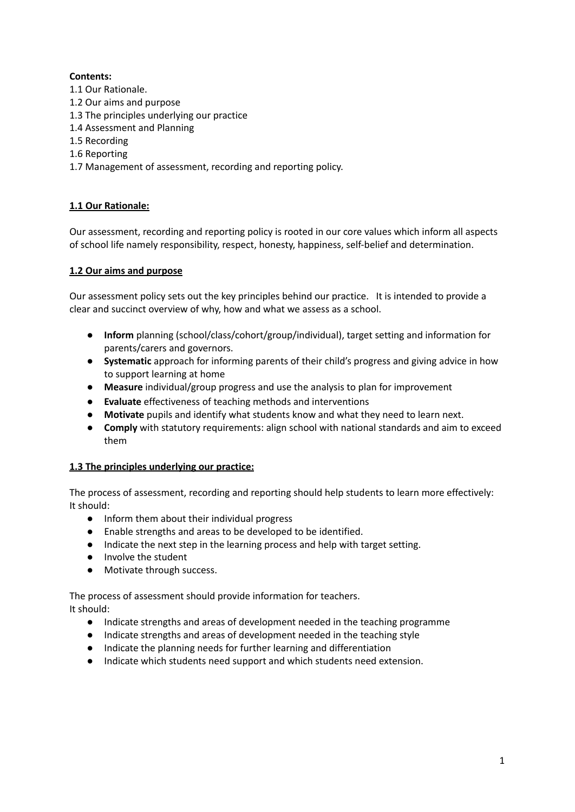# **Contents:**

- 1.1 Our Rationale.
- 1.2 Our aims and purpose
- 1.3 The principles underlying our practice
- 1.4 Assessment and Planning
- 1.5 Recording
- 1.6 Reporting
- 1.7 Management of assessment, recording and reporting policy.

# **1.1 Our Rationale:**

Our assessment, recording and reporting policy is rooted in our core values which inform all aspects of school life namely responsibility, respect, honesty, happiness, self-belief and determination.

# **1.2 Our aims and purpose**

Our assessment policy sets out the key principles behind our practice. It is intended to provide a clear and succinct overview of why, how and what we assess as a school.

- **Inform** planning (school/class/cohort/group/individual), target setting and information for parents/carers and governors.
- **Systematic** approach for informing parents of their child's progress and giving advice in how to support learning at home
- **Measure** individual/group progress and use the analysis to plan for improvement
- **Evaluate** effectiveness of teaching methods and interventions
- **Motivate** pupils and identify what students know and what they need to learn next.
- **Comply** with statutory requirements: align school with national standards and aim to exceed them

# **1.3 The principles underlying our practice:**

The process of assessment, recording and reporting should help students to learn more effectively: It should:

- Inform them about their individual progress
- Enable strengths and areas to be developed to be identified.
- Indicate the next step in the learning process and help with target setting.
- Involve the student
- Motivate through success.

The process of assessment should provide information for teachers. It should:

- Indicate strengths and areas of development needed in the teaching programme
- Indicate strengths and areas of development needed in the teaching style
- Indicate the planning needs for further learning and differentiation
- Indicate which students need support and which students need extension.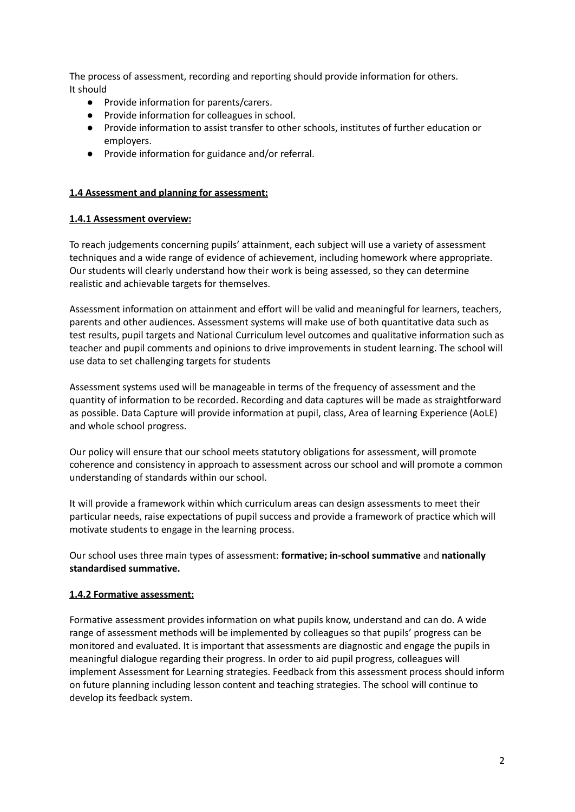The process of assessment, recording and reporting should provide information for others. It should

- Provide information for parents/carers.
- Provide information for colleagues in school.
- Provide information to assist transfer to other schools, institutes of further education or employers.
- Provide information for guidance and/or referral.

# **1.4 Assessment and planning for assessment:**

# **1.4.1 Assessment overview:**

To reach judgements concerning pupils' attainment, each subject will use a variety of assessment techniques and a wide range of evidence of achievement, including homework where appropriate. Our students will clearly understand how their work is being assessed, so they can determine realistic and achievable targets for themselves.

Assessment information on attainment and effort will be valid and meaningful for learners, teachers, parents and other audiences. Assessment systems will make use of both quantitative data such as test results, pupil targets and National Curriculum level outcomes and qualitative information such as teacher and pupil comments and opinions to drive improvements in student learning. The school will use data to set challenging targets for students

Assessment systems used will be manageable in terms of the frequency of assessment and the quantity of information to be recorded. Recording and data captures will be made as straightforward as possible. Data Capture will provide information at pupil, class, Area of learning Experience (AoLE) and whole school progress.

Our policy will ensure that our school meets statutory obligations for assessment, will promote coherence and consistency in approach to assessment across our school and will promote a common understanding of standards within our school.

It will provide a framework within which curriculum areas can design assessments to meet their particular needs, raise expectations of pupil success and provide a framework of practice which will motivate students to engage in the learning process.

Our school uses three main types of assessment: **formative; in-school summative** and **nationally standardised summative.**

# **1.4.2 Formative assessment:**

Formative assessment provides information on what pupils know, understand and can do. A wide range of assessment methods will be implemented by colleagues so that pupils' progress can be monitored and evaluated. It is important that assessments are diagnostic and engage the pupils in meaningful dialogue regarding their progress. In order to aid pupil progress, colleagues will implement Assessment for Learning strategies. Feedback from this assessment process should inform on future planning including lesson content and teaching strategies. The school will continue to develop its feedback system.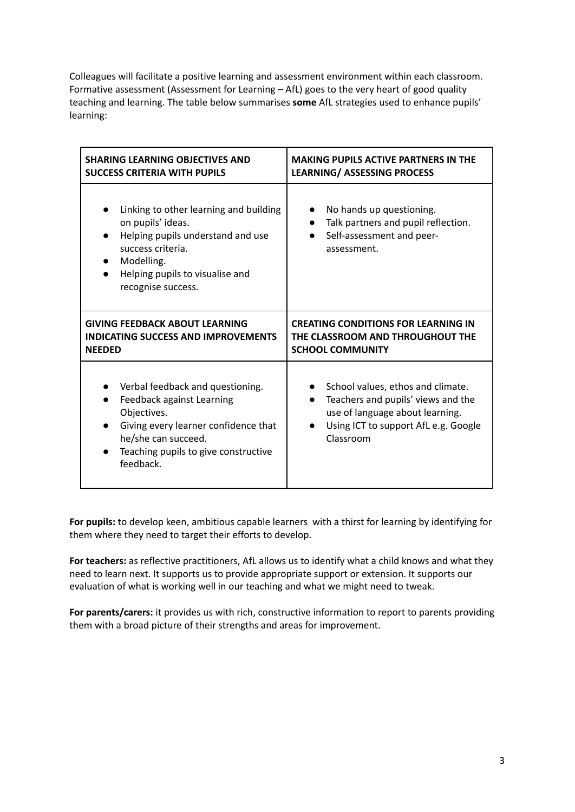Colleagues will facilitate a positive learning and assessment environment within each classroom. Formative assessment (Assessment for Learning – AfL) goes to the very heart of good quality teaching and learning. The table below summarises **some** AfL strategies used to enhance pupils' learning:

| <b>SHARING LEARNING OBJECTIVES AND</b>                                                                                                                                                           | <b>MAKING PUPILS ACTIVE PARTNERS IN THE</b>                                                                                                                     |
|--------------------------------------------------------------------------------------------------------------------------------------------------------------------------------------------------|-----------------------------------------------------------------------------------------------------------------------------------------------------------------|
| <b>SUCCESS CRITERIA WITH PUPILS</b>                                                                                                                                                              | <b>LEARNING/ ASSESSING PROCESS</b>                                                                                                                              |
| Linking to other learning and building<br>on pupils' ideas.<br>Helping pupils understand and use<br>success criteria.<br>Modelling.<br>Helping pupils to visualise and<br>recognise success.     | No hands up questioning.<br>Talk partners and pupil reflection.<br>Self-assessment and peer-<br>assessment.                                                     |
| <b>GIVING FEEDBACK ABOUT LEARNING</b>                                                                                                                                                            | <b>CREATING CONDITIONS FOR LEARNING IN</b>                                                                                                                      |
| <b>INDICATING SUCCESS AND IMPROVEMENTS</b>                                                                                                                                                       | THE CLASSROOM AND THROUGHOUT THE                                                                                                                                |
| <b>NEEDED</b>                                                                                                                                                                                    | <b>SCHOOL COMMUNITY</b>                                                                                                                                         |
| Verbal feedback and questioning.<br>Feedback against Learning<br>Objectives.<br>Giving every learner confidence that<br>he/she can succeed.<br>Teaching pupils to give constructive<br>feedback. | School values, ethos and climate.<br>Teachers and pupils' views and the<br>use of language about learning.<br>Using ICT to support AfL e.g. Google<br>Classroom |

**For pupils:** to develop keen, ambitious capable learners with a thirst for learning by identifying for them where they need to target their efforts to develop.

**For teachers:** as reflective practitioners, AfL allows us to identify what a child knows and what they need to learn next. It supports us to provide appropriate support or extension. It supports our evaluation of what is working well in our teaching and what we might need to tweak.

**For parents/carers:** it provides us with rich, constructive information to report to parents providing them with a broad picture of their strengths and areas for improvement.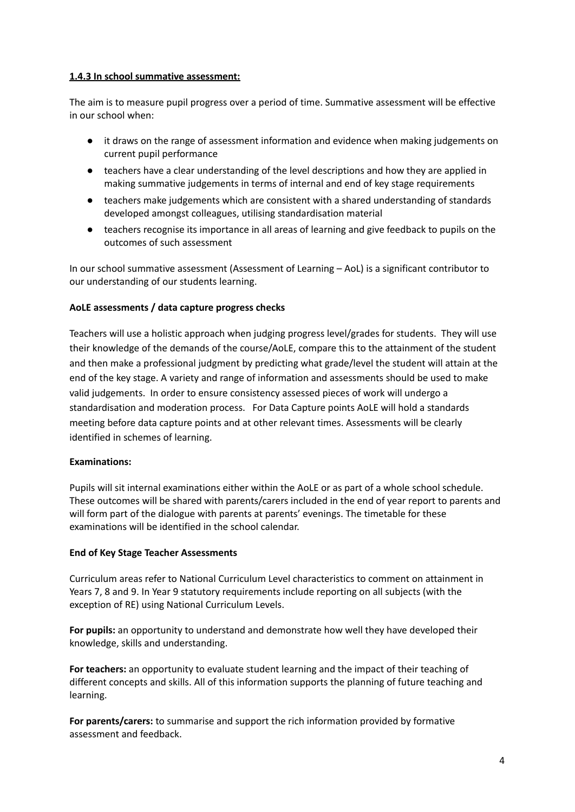# **1.4.3 In school summative assessment:**

The aim is to measure pupil progress over a period of time. Summative assessment will be effective in our school when:

- it draws on the range of assessment information and evidence when making judgements on current pupil performance
- teachers have a clear understanding of the level descriptions and how they are applied in making summative judgements in terms of internal and end of key stage requirements
- teachers make judgements which are consistent with a shared understanding of standards developed amongst colleagues, utilising standardisation material
- teachers recognise its importance in all areas of learning and give feedback to pupils on the outcomes of such assessment

In our school summative assessment (Assessment of Learning – AoL) is a significant contributor to our understanding of our students learning.

# **AoLE assessments / data capture progress checks**

Teachers will use a holistic approach when judging progress level/grades for students. They will use their knowledge of the demands of the course/AoLE, compare this to the attainment of the student and then make a professional judgment by predicting what grade/level the student will attain at the end of the key stage. A variety and range of information and assessments should be used to make valid judgements. In order to ensure consistency assessed pieces of work will undergo a standardisation and moderation process. For Data Capture points AoLE will hold a standards meeting before data capture points and at other relevant times. Assessments will be clearly identified in schemes of learning.

#### **Examinations:**

Pupils will sit internal examinations either within the AoLE or as part of a whole school schedule. These outcomes will be shared with parents/carers included in the end of year report to parents and will form part of the dialogue with parents at parents' evenings. The timetable for these examinations will be identified in the school calendar.

#### **End of Key Stage Teacher Assessments**

Curriculum areas refer to National Curriculum Level characteristics to comment on attainment in Years 7, 8 and 9. In Year 9 statutory requirements include reporting on all subjects (with the exception of RE) using National Curriculum Levels.

**For pupils:** an opportunity to understand and demonstrate how well they have developed their knowledge, skills and understanding.

**For teachers:** an opportunity to evaluate student learning and the impact of their teaching of different concepts and skills. All of this information supports the planning of future teaching and learning.

**For parents/carers:** to summarise and support the rich information provided by formative assessment and feedback.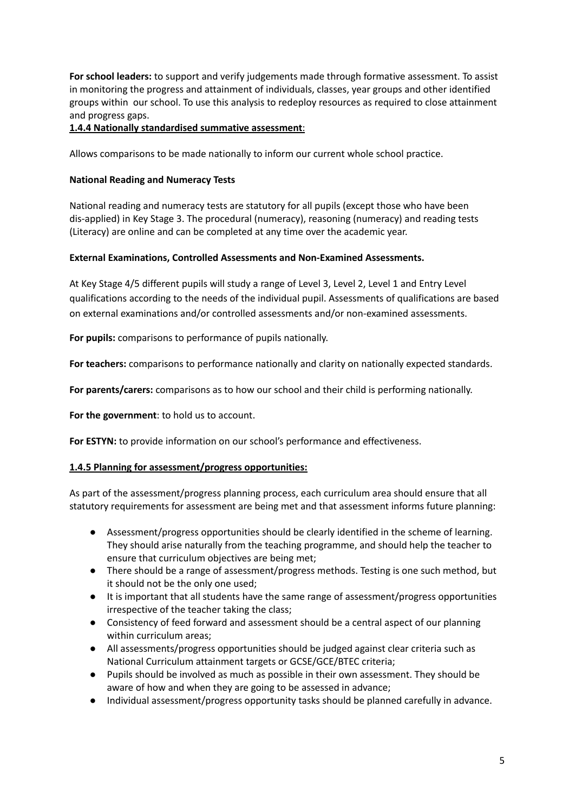**For school leaders:** to support and verify judgements made through formative assessment. To assist in monitoring the progress and attainment of individuals, classes, year groups and other identified groups within our school. To use this analysis to redeploy resources as required to close attainment and progress gaps.

# **1.4.4 Nationally standardised summative assessment**:

Allows comparisons to be made nationally to inform our current whole school practice.

# **National Reading and Numeracy Tests**

National reading and numeracy tests are statutory for all pupils (except those who have been dis-applied) in Key Stage 3. The procedural (numeracy), reasoning (numeracy) and reading tests (Literacy) are online and can be completed at any time over the academic year.

# **External Examinations, Controlled Assessments and Non-Examined Assessments.**

At Key Stage 4/5 different pupils will study a range of Level 3, Level 2, Level 1 and Entry Level qualifications according to the needs of the individual pupil. Assessments of qualifications are based on external examinations and/or controlled assessments and/or non-examined assessments.

**For pupils:** comparisons to performance of pupils nationally.

**For teachers:** comparisons to performance nationally and clarity on nationally expected standards.

**For parents/carers:** comparisons as to how our school and their child is performing nationally.

**For the government**: to hold us to account.

**For ESTYN:** to provide information on our school's performance and effectiveness.

#### **1.4.5 Planning for assessment/progress opportunities:**

As part of the assessment/progress planning process, each curriculum area should ensure that all statutory requirements for assessment are being met and that assessment informs future planning:

- Assessment/progress opportunities should be clearly identified in the scheme of learning. They should arise naturally from the teaching programme, and should help the teacher to ensure that curriculum objectives are being met;
- There should be a range of assessment/progress methods. Testing is one such method, but it should not be the only one used;
- It is important that all students have the same range of assessment/progress opportunities irrespective of the teacher taking the class;
- Consistency of feed forward and assessment should be a central aspect of our planning within curriculum areas;
- All assessments/progress opportunities should be judged against clear criteria such as National Curriculum attainment targets or GCSE/GCE/BTEC criteria;
- Pupils should be involved as much as possible in their own assessment. They should be aware of how and when they are going to be assessed in advance;
- Individual assessment/progress opportunity tasks should be planned carefully in advance.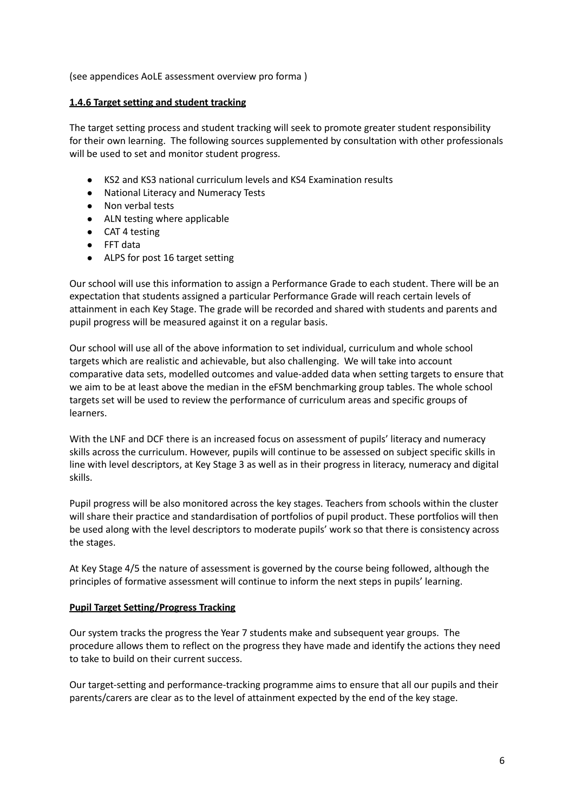(see appendices AoLE assessment overview pro forma )

#### **1.4.6 Target setting and student tracking**

The target setting process and student tracking will seek to promote greater student responsibility for their own learning. The following sources supplemented by consultation with other professionals will be used to set and monitor student progress.

- KS2 and KS3 national curriculum levels and KS4 Examination results
- National Literacy and Numeracy Tests
- Non verbal tests
- ALN testing where applicable
- CAT 4 testing
- FFT data
- ALPS for post 16 target setting

Our school will use this information to assign a Performance Grade to each student. There will be an expectation that students assigned a particular Performance Grade will reach certain levels of attainment in each Key Stage. The grade will be recorded and shared with students and parents and pupil progress will be measured against it on a regular basis.

Our school will use all of the above information to set individual, curriculum and whole school targets which are realistic and achievable, but also challenging. We will take into account comparative data sets, modelled outcomes and value-added data when setting targets to ensure that we aim to be at least above the median in the eFSM benchmarking group tables. The whole school targets set will be used to review the performance of curriculum areas and specific groups of learners.

With the LNF and DCF there is an increased focus on assessment of pupils' literacy and numeracy skills across the curriculum. However, pupils will continue to be assessed on subject specific skills in line with level descriptors, at Key Stage 3 as well as in their progress in literacy, numeracy and digital skills.

Pupil progress will be also monitored across the key stages. Teachers from schools within the cluster will share their practice and standardisation of portfolios of pupil product. These portfolios will then be used along with the level descriptors to moderate pupils' work so that there is consistency across the stages.

At Key Stage 4/5 the nature of assessment is governed by the course being followed, although the principles of formative assessment will continue to inform the next steps in pupils' learning.

#### **Pupil Target Setting/Progress Tracking**

Our system tracks the progress the Year 7 students make and subsequent year groups. The procedure allows them to reflect on the progress they have made and identify the actions they need to take to build on their current success.

Our target-setting and performance-tracking programme aims to ensure that all our pupils and their parents/carers are clear as to the level of attainment expected by the end of the key stage.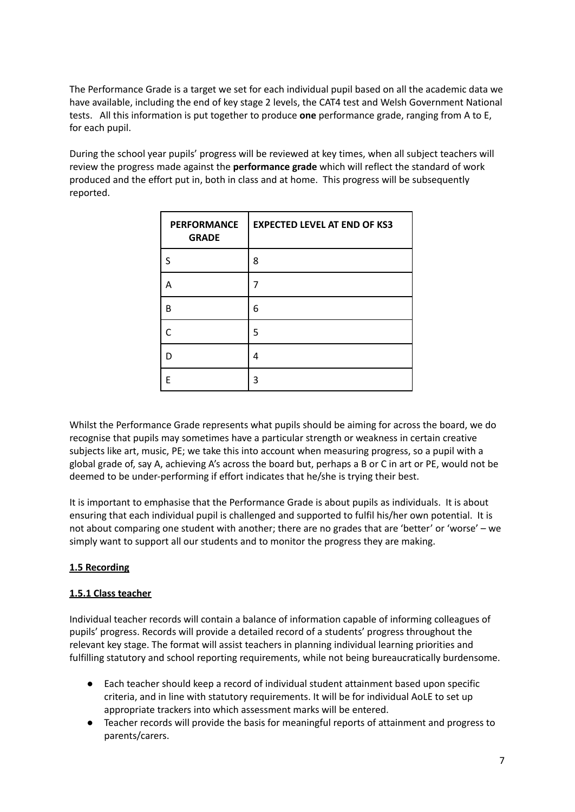The Performance Grade is a target we set for each individual pupil based on all the academic data we have available, including the end of key stage 2 levels, the CAT4 test and Welsh Government National tests. All this information is put together to produce **one** performance grade, ranging from A to E, for each pupil.

During the school year pupils' progress will be reviewed at key times, when all subject teachers will review the progress made against the **performance grade** which will reflect the standard of work produced and the effort put in, both in class and at home. This progress will be subsequently reported.

| <b>PERFORMANCE</b><br><b>GRADE</b> | <b>EXPECTED LEVEL AT END OF KS3</b> |
|------------------------------------|-------------------------------------|
| S                                  | 8                                   |
| А                                  |                                     |
| B                                  | 6                                   |
|                                    | 5                                   |
| D                                  | 4                                   |
| F                                  | 3                                   |

Whilst the Performance Grade represents what pupils should be aiming for across the board, we do recognise that pupils may sometimes have a particular strength or weakness in certain creative subjects like art, music, PE; we take this into account when measuring progress, so a pupil with a global grade of, say A, achieving A's across the board but, perhaps a B or C in art or PE, would not be deemed to be under-performing if effort indicates that he/she is trying their best.

It is important to emphasise that the Performance Grade is about pupils as individuals. It is about ensuring that each individual pupil is challenged and supported to fulfil his/her own potential. It is not about comparing one student with another; there are no grades that are 'better' or 'worse' – we simply want to support all our students and to monitor the progress they are making.

# **1.5 Recording**

# **1.5.1 Class teacher**

Individual teacher records will contain a balance of information capable of informing colleagues of pupils' progress. Records will provide a detailed record of a students' progress throughout the relevant key stage. The format will assist teachers in planning individual learning priorities and fulfilling statutory and school reporting requirements, while not being bureaucratically burdensome.

- Each teacher should keep a record of individual student attainment based upon specific criteria, and in line with statutory requirements. It will be for individual AoLE to set up appropriate trackers into which assessment marks will be entered.
- Teacher records will provide the basis for meaningful reports of attainment and progress to parents/carers.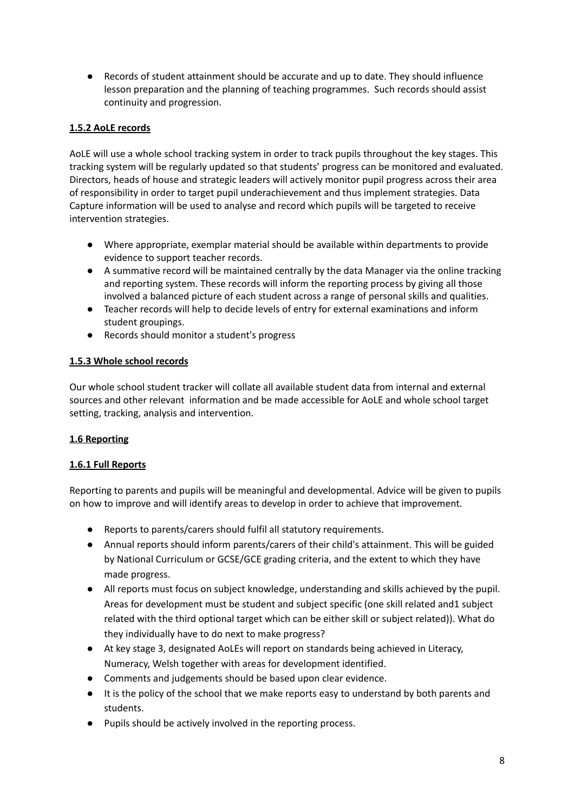● Records of student attainment should be accurate and up to date. They should influence lesson preparation and the planning of teaching programmes. Such records should assist continuity and progression.

# **1.5.2 AoLE records**

AoLE will use a whole school tracking system in order to track pupils throughout the key stages. This tracking system will be regularly updated so that students' progress can be monitored and evaluated. Directors, heads of house and strategic leaders will actively monitor pupil progress across their area of responsibility in order to target pupil underachievement and thus implement strategies. Data Capture information will be used to analyse and record which pupils will be targeted to receive intervention strategies.

- Where appropriate, exemplar material should be available within departments to provide evidence to support teacher records.
- A summative record will be maintained centrally by the data Manager via the online tracking and reporting system. These records will inform the reporting process by giving all those involved a balanced picture of each student across a range of personal skills and qualities.
- Teacher records will help to decide levels of entry for external examinations and inform student groupings.
- Records should monitor a student's progress

# **1.5.3 Whole school records**

Our whole school student tracker will collate all available student data from internal and external sources and other relevant information and be made accessible for AoLE and whole school target setting, tracking, analysis and intervention.

# **1.6 Reporting**

# **1.6.1 Full Reports**

Reporting to parents and pupils will be meaningful and developmental. Advice will be given to pupils on how to improve and will identify areas to develop in order to achieve that improvement.

- Reports to parents/carers should fulfil all statutory requirements.
- Annual reports should inform parents/carers of their child's attainment. This will be guided by National Curriculum or GCSE/GCE grading criteria, and the extent to which they have made progress.
- All reports must focus on subject knowledge, understanding and skills achieved by the pupil. Areas for development must be student and subject specific (one skill related and1 subject related with the third optional target which can be either skill or subject related)). What do they individually have to do next to make progress?
- At key stage 3, designated AoLEs will report on standards being achieved in Literacy, Numeracy, Welsh together with areas for development identified.
- Comments and judgements should be based upon clear evidence.
- It is the policy of the school that we make reports easy to understand by both parents and students.
- Pupils should be actively involved in the reporting process.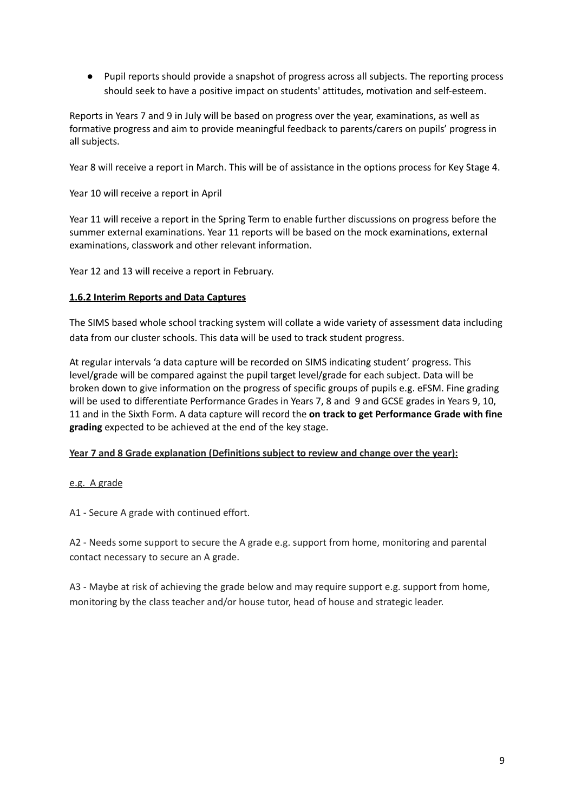● Pupil reports should provide a snapshot of progress across all subjects. The reporting process should seek to have a positive impact on students' attitudes, motivation and self-esteem.

Reports in Years 7 and 9 in July will be based on progress over the year, examinations, as well as formative progress and aim to provide meaningful feedback to parents/carers on pupils' progress in all subjects.

Year 8 will receive a report in March. This will be of assistance in the options process for Key Stage 4.

Year 10 will receive a report in April

Year 11 will receive a report in the Spring Term to enable further discussions on progress before the summer external examinations. Year 11 reports will be based on the mock examinations, external examinations, classwork and other relevant information.

Year 12 and 13 will receive a report in February.

# **1.6.2 Interim Reports and Data Captures**

The SIMS based whole school tracking system will collate a wide variety of assessment data including data from our cluster schools. This data will be used to track student progress.

At regular intervals 'a data capture will be recorded on SIMS indicating student' progress. This level/grade will be compared against the pupil target level/grade for each subject. Data will be broken down to give information on the progress of specific groups of pupils e.g. eFSM. Fine grading will be used to differentiate Performance Grades in Years 7, 8 and 9 and GCSE grades in Years 9, 10, 11 and in the Sixth Form. A data capture will record the **on track to get Performance Grade with fine grading** expected to be achieved at the end of the key stage.

#### **Year 7 and 8 Grade explanation (Definitions subject to review and change over the year):**

#### e.g. A grade

A1 - Secure A grade with continued effort.

A2 - Needs some support to secure the A grade e.g. support from home, monitoring and parental contact necessary to secure an A grade.

A3 - Maybe at risk of achieving the grade below and may require support e.g. support from home, monitoring by the class teacher and/or house tutor, head of house and strategic leader.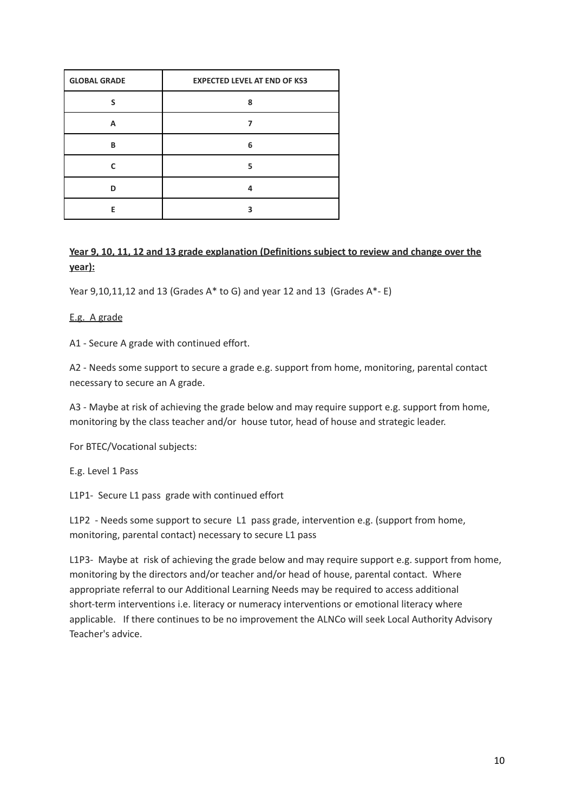| <b>GLOBAL GRADE</b> | <b>EXPECTED LEVEL AT END OF KS3</b> |
|---------------------|-------------------------------------|
|                     | ጸ                                   |
| A                   |                                     |
| B                   | 6                                   |
|                     | 5                                   |
| n                   | Δ                                   |
| F                   |                                     |

# **Year 9, 10, 11, 12 and 13 grade explanation (Definitions subject to review and change over the year):**

Year  $9,10,11,12$  and 13 (Grades A\* to G) and year 12 and 13 (Grades A\*- E)

# E.g. A grade

A1 - Secure A grade with continued effort.

A2 - Needs some support to secure a grade e.g. support from home, monitoring, parental contact necessary to secure an A grade.

A3 - Maybe at risk of achieving the grade below and may require support e.g. support from home, monitoring by the class teacher and/or house tutor, head of house and strategic leader.

For BTEC/Vocational subjects:

E.g. Level 1 Pass

L1P1- Secure L1 pass grade with continued effort

L1P2 - Needs some support to secure L1 pass grade, intervention e.g. (support from home, monitoring, parental contact) necessary to secure L1 pass

L1P3- Maybe at risk of achieving the grade below and may require support e.g. support from home, monitoring by the directors and/or teacher and/or head of house, parental contact. Where appropriate referral to our Additional Learning Needs may be required to access additional short-term interventions i.e. literacy or numeracy interventions or emotional literacy where applicable. If there continues to be no improvement the ALNCo will seek Local Authority Advisory Teacher's advice.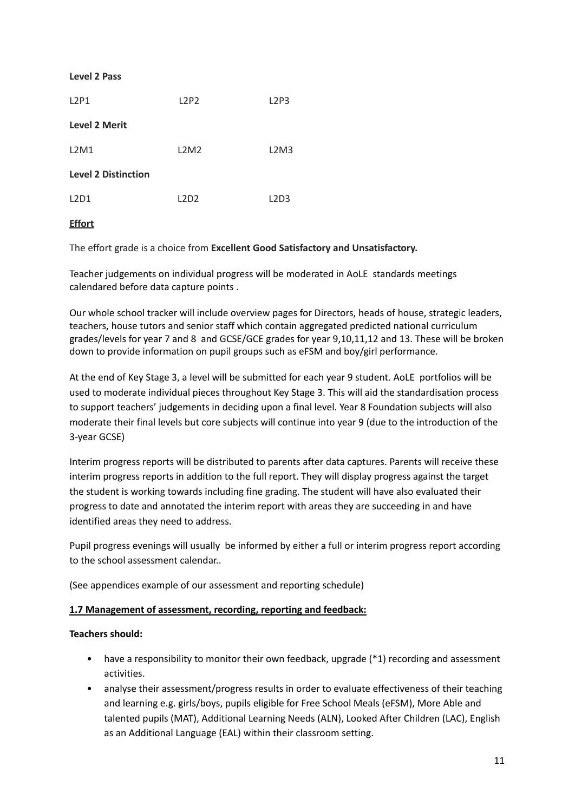#### **Level 2 Pass**

| L2P1                       | L2P2 | L2P3 |
|----------------------------|------|------|
| <b>Level 2 Merit</b>       |      |      |
| L2M1                       | L2M2 | L2M3 |
| <b>Level 2 Distinction</b> |      |      |
| L2D1                       | L2D2 | L2D3 |
|                            |      |      |

# **Effort**

The effort grade is a choice from **Excellent Good Satisfactory and Unsatisfactory.**

Teacher judgements on individual progress will be moderated in AoLE standards meetings calendared before data capture points .

Our whole school tracker will include overview pages for Directors, heads of house, strategic leaders, teachers, house tutors and senior staff which contain aggregated predicted national curriculum grades/levels for year 7 and 8 and GCSE/GCE grades for year 9,10,11,12 and 13. These will be broken down to provide information on pupil groups such as eFSM and boy/girl performance.

At the end of Key Stage 3, a level will be submitted for each year 9 student. AoLE portfolios will be used to moderate individual pieces throughout Key Stage 3. This will aid the standardisation process to support teachers' judgements in deciding upon a final level. Year 8 Foundation subjects will also moderate their final levels but core subjects will continue into year 9 (due to the introduction of the 3-year GCSE)

Interim progress reports will be distributed to parents after data captures. Parents will receive these interim progress reports in addition to the full report. They will display progress against the target the student is working towards including fine grading. The student will have also evaluated their progress to date and annotated the interim report with areas they are succeeding in and have identified areas they need to address.

Pupil progress evenings will usually be informed by either a full or interim progress report according to the school assessment calendar..

(See appendices example of our assessment and reporting schedule)

#### **1.7 Management of assessment, recording, reporting and feedback:**

#### **Teachers should:**

- have a responsibility to monitor their own feedback, upgrade (\*1) recording and assessment activities.
- analyse their assessment/progress results in order to evaluate effectiveness of their teaching and learning e.g. girls/boys, pupils eligible for Free School Meals (eFSM), More Able and talented pupils (MAT), Additional Learning Needs (ALN), Looked After Children (LAC), English as an Additional Language (EAL) within their classroom setting.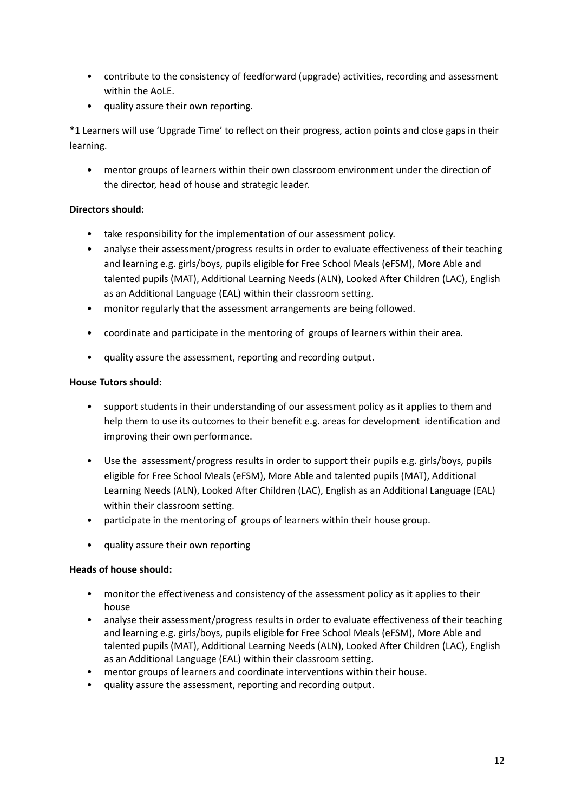- contribute to the consistency of feedforward (upgrade) activities, recording and assessment within the AoLE.
- quality assure their own reporting.

\*1 Learners will use 'Upgrade Time' to reflect on their progress, action points and close gaps in their learning.

• mentor groups of learners within their own classroom environment under the direction of the director, head of house and strategic leader.

# **Directors should:**

- take responsibility for the implementation of our assessment policy.
- analyse their assessment/progress results in order to evaluate effectiveness of their teaching and learning e.g. girls/boys, pupils eligible for Free School Meals (eFSM), More Able and talented pupils (MAT), Additional Learning Needs (ALN), Looked After Children (LAC), English as an Additional Language (EAL) within their classroom setting.
- monitor regularly that the assessment arrangements are being followed.
- coordinate and participate in the mentoring of groups of learners within their area.
- quality assure the assessment, reporting and recording output.

# **House Tutors should:**

- support students in their understanding of our assessment policy as it applies to them and help them to use its outcomes to their benefit e.g. areas for development identification and improving their own performance.
- Use the assessment/progress results in order to support their pupils e.g. girls/boys, pupils eligible for Free School Meals (eFSM), More Able and talented pupils (MAT), Additional Learning Needs (ALN), Looked After Children (LAC), English as an Additional Language (EAL) within their classroom setting.
- participate in the mentoring of groups of learners within their house group.
- quality assure their own reporting

# **Heads of house should:**

- monitor the effectiveness and consistency of the assessment policy as it applies to their house
- analyse their assessment/progress results in order to evaluate effectiveness of their teaching and learning e.g. girls/boys, pupils eligible for Free School Meals (eFSM), More Able and talented pupils (MAT), Additional Learning Needs (ALN), Looked After Children (LAC), English as an Additional Language (EAL) within their classroom setting.
- mentor groups of learners and coordinate interventions within their house.
- quality assure the assessment, reporting and recording output.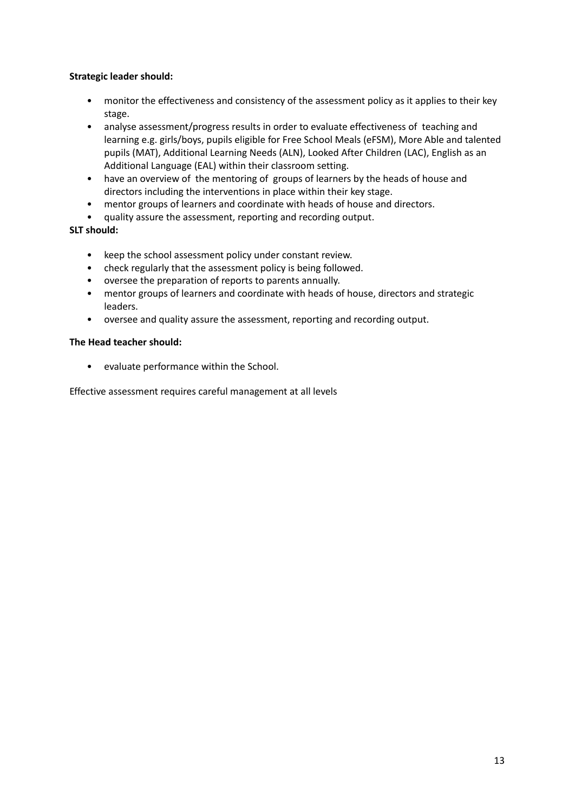# **Strategic leader should:**

- monitor the effectiveness and consistency of the assessment policy as it applies to their key stage.
- analyse assessment/progress results in order to evaluate effectiveness of teaching and learning e.g. girls/boys, pupils eligible for Free School Meals (eFSM), More Able and talented pupils (MAT), Additional Learning Needs (ALN), Looked After Children (LAC), English as an Additional Language (EAL) within their classroom setting.
- have an overview of the mentoring of groups of learners by the heads of house and directors including the interventions in place within their key stage.
- mentor groups of learners and coordinate with heads of house and directors.
- quality assure the assessment, reporting and recording output.

# **SLT should:**

- keep the school assessment policy under constant review.
- check regularly that the assessment policy is being followed.
- oversee the preparation of reports to parents annually.
- mentor groups of learners and coordinate with heads of house, directors and strategic leaders.
- oversee and quality assure the assessment, reporting and recording output.

#### **The Head teacher should:**

• evaluate performance within the School.

Effective assessment requires careful management at all levels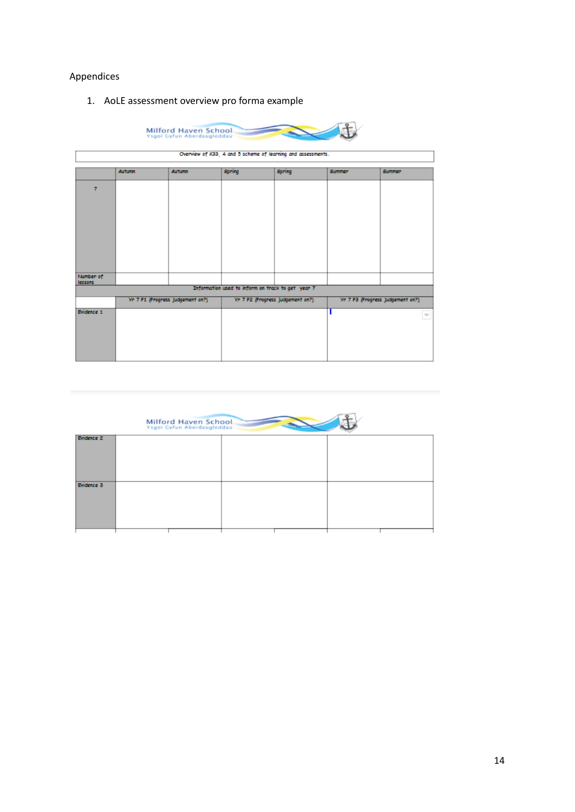# Appendices

1. AoLE assessment overview pro forma example

| Milford Haven School.<br>Ysgol Gyfun Aberdaugleddau |               |                                  |                                                              |                                  |               |                                  |
|-----------------------------------------------------|---------------|----------------------------------|--------------------------------------------------------------|----------------------------------|---------------|----------------------------------|
|                                                     |               |                                  | Overview of K33, 4 and 5 scheme of learning and assessments. |                                  |               |                                  |
|                                                     | <b>Autumn</b> | <b>Autumn</b>                    | Spring                                                       | Spring                           | <b>Summer</b> | Summer                           |
| $\overline{7}$                                      |               |                                  |                                                              |                                  |               |                                  |
| Number of                                           |               |                                  |                                                              |                                  |               |                                  |
| lessons                                             |               |                                  | Information used to inform on track to get year 7            |                                  |               |                                  |
|                                                     |               | Yr 7 P1 (Progress Judgement on?) |                                                              | Yn 7 P2 (Progress Judgement on?) |               | Yn 7 P3 (Progress Judgement on?) |
| <b>Evidence 1</b>                                   |               |                                  |                                                              |                                  |               | $\overline{\phantom{a}}$         |

|                   | Milford Haven School.<br>Ysgol Gyfun Aberdaugleddau |  |
|-------------------|-----------------------------------------------------|--|
| <b>Evidence 2</b> |                                                     |  |
|                   |                                                     |  |
| <b>Evidence 3</b> |                                                     |  |
|                   |                                                     |  |
|                   |                                                     |  |